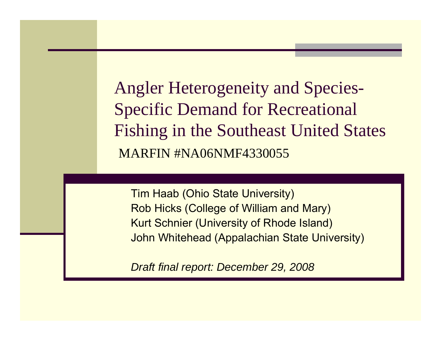Angler Heterogeneity and Species-Specific Demand for Recreational Fishing in the Southeast United States MARFIN #NA06NMF4330055

Tim Haab (Ohio State University) Rob Hicks (College of William and Mary) Kurt Schnier (University of Rhode Island) John Whitehead (Appalachian State University)

*Draft final report: December 29, 2008*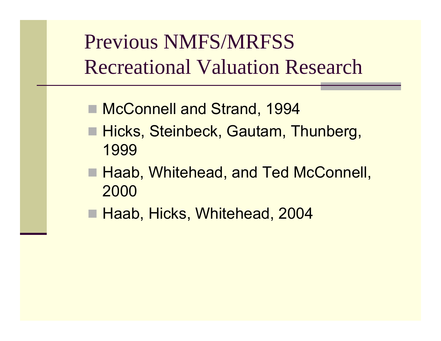Previous NMFS/MRFSS Recreational Valuation Research

- McConnell and Strand, 1994
- Hicks, Steinbeck, Gautam, Thunberg, 1999
- Haab, Whitehead, and Ted McConnell, 2000
- Haab, Hicks, Whitehead, 2004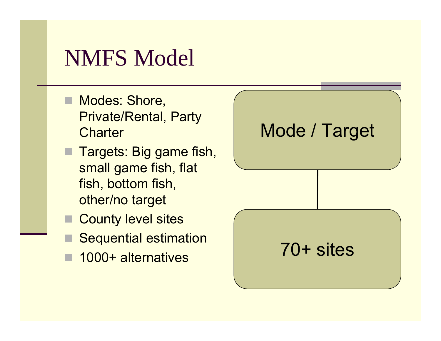## NMFS Model

- Modes: Shore, Private/Rental, Party **Charter**
- Targets: Big game fish, small game fish, flat fish, bottom fish, other/no target
- County level sites
- Sequential estimation
- 1000+ alternatives

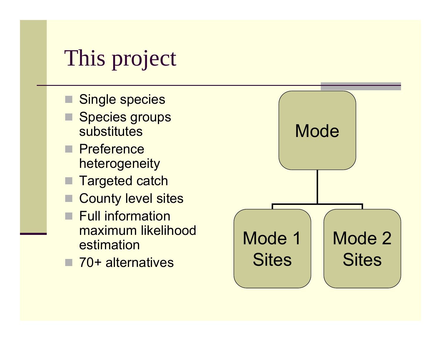# This project

- Single species
- Species groups substitutes
- **Preference** heterogeneity
- Targeted catch
- County level sites
- **Full information** maximum likelihood estimation
- 70+ alternatives

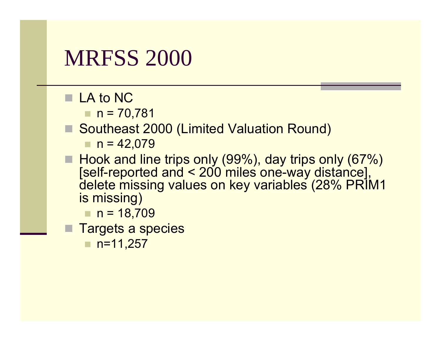### **MRFSS 2000**

- LA to NC
	- $n = 70,781$
- Southeast 2000 (Limited Valuation Round)

 $n = 42,079$ 

■ Hook and line trips only (99%), day trips only (67%) [self-reported and < 200 miles one-way distance], delete missing values on key variables (28% PRIM1 is missing)

 $n = 18,709$ 

- Targets a species
	- п n=11,257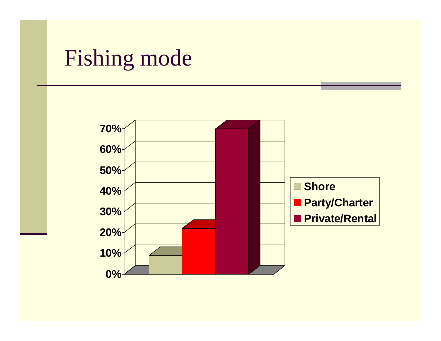## Fishing mode

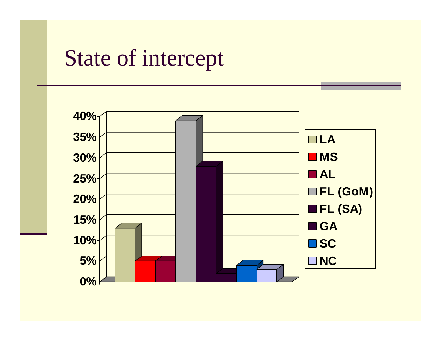## State of intercept

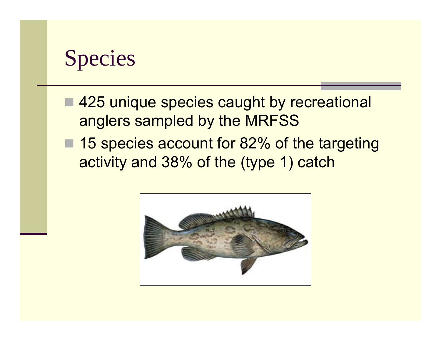

- 425 unique species caught by recreational anglers sampled by the MRFSS
- 15 species account for 82% of the targeting activity and 38% of the (type 1) catch

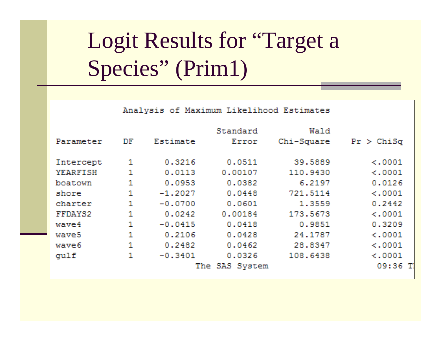# Logit Results for "Target a Species" (Prim1)

|                   | Analysis of Maximum Likelihood Estimates |           |                |            |              |
|-------------------|------------------------------------------|-----------|----------------|------------|--------------|
|                   |                                          |           | Standard       | Wald       |              |
| Parameter         | DF                                       | Estimate  | Error          | Chi-Square | $Pr$ > ChiSq |
| Intercept         | 1                                        | 0.3216    | 0.0511         | 39.5889    | $\lt$ .0001  |
| <b>YEARFISH</b>   | 1                                        | 0.0113    | 0.00107        | 110,9430   | < .0001      |
| boatown           | 1                                        | 0.0953    | 0.0382         | 6.2197     | 0.0126       |
| shore             | 1                                        | $-1.2027$ | 0.0448         | 721,5114   | $\leq 0.001$ |
| charter           | $\mathbf{1}$                             | $-0.0700$ | 0.0601         | 1,3559     | 0.2442       |
| FFDAYS2           | 1                                        | 0.0242    | 0.00184        | 173.5673   | < .0001      |
| wave4             | $\mathbf{1}$                             | $-0.0415$ | 0.0418         | 0.9851     | 0.3209       |
| waye <sub>5</sub> | 1                                        | 0.2106    | 0.0428         | 24.1787    | $\leq 0.001$ |
| wave6             | 1                                        | 0.2482    | 0.0462         | 28,8347    | $\lt$ .0001  |
| qulf              | 1                                        | $-0.3401$ | 0.0326         | 108.6438   | < .0001      |
|                   |                                          |           | The SAS System |            | $09:36$ T    |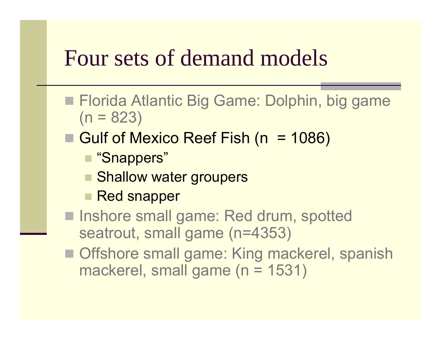## Four sets of demand models

- Florida Atlantic Big Game: Dolphin, big game  $(n = 823)$
- Gulf of Mexico Reef Fish (n = 1086)
	- "Snappers"
	- **Shallow water groupers**
	- **Red snapper**
- Inshore small game: Red drum, spotted seatrout, small game (n=4353)
- Offshore small game: King mackerel, spanish mackerel, small game (n = 1531)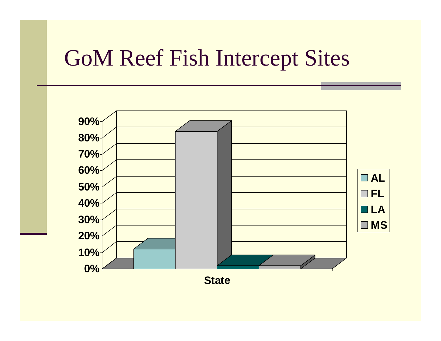# GoM Reef Fish Intercept Sites

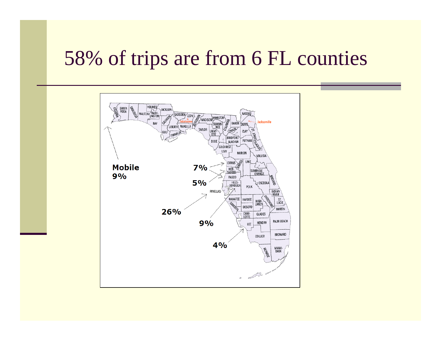#### 58% of trips are from 6 FL counties

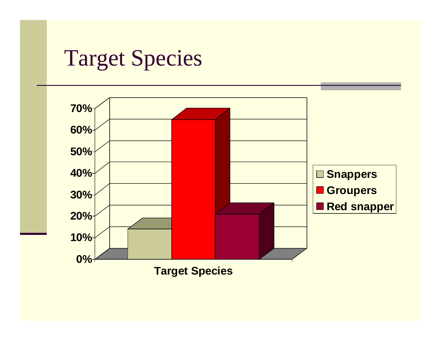## Target Species

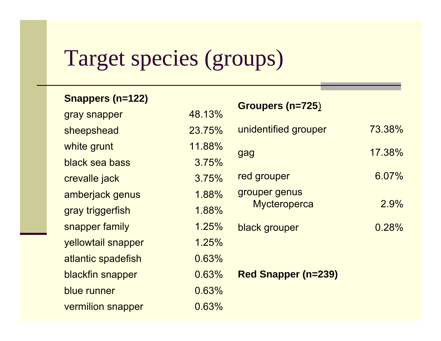# Target species (groups)

#### **Snappers (n=122)**

| gray snapper       | 48.13% |
|--------------------|--------|
| sheepshead         | 23.75% |
| white grunt        | 11.88% |
| black sea bass     | 3.75%  |
| crevalle jack      | 3.75%  |
| amberjack genus    | 1.88%  |
| gray triggerfish   | 1.88%  |
| snapper family     | 1.25%  |
| yellowtail snapper | 1.25%  |
| atlantic spadefish | 0.63%  |
| blackfin snapper   | 0.63%  |
| blue runner        | 0.63%  |
| vermilion snapper  | 0.63%  |

|                                    | Groupers (n=725)           |        |
|------------------------------------|----------------------------|--------|
| 48.13%                             |                            |        |
| 23.75%                             | unidentified grouper       | 73.38% |
| 11.88%                             | gag                        | 17.38% |
| 3.75%                              |                            |        |
| 3.75%                              | red grouper                | 6.07%  |
| 1.88%                              | grouper genus              |        |
| 1.88%                              | <b>Mycteroperca</b>        | 2.9%   |
| 1.25%                              | black grouper              | 0.28%  |
| 1.25%                              |                            |        |
| 0.63%                              |                            |        |
| 0.63%                              | <b>Red Snapper (n=239)</b> |        |
| 0.63%                              |                            |        |
| $\sim$ $\sim$ $\sim$ $\sim$ $\sim$ |                            |        |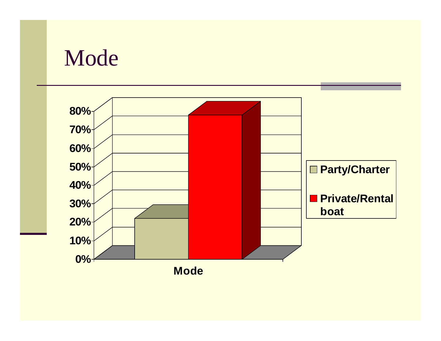#### Mode

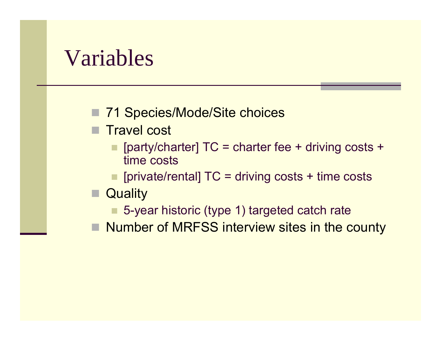#### Variables

■ 71 Species/Mode/Site choices

- Travel cost
	- **party/charter] TC = charter fee + driving costs +** time costs
	- $\blacksquare$  [private/rental] TC = driving costs + time costs

#### **Quality**

- 5-year historic (type 1) targeted catch rate
- Number of MRFSS interview sites in the county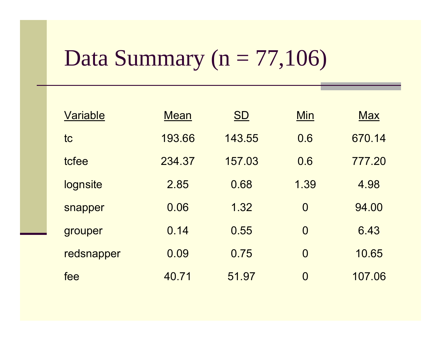# Data Summary ( $n = 77,106$ )

| Variable   | <b>Mean</b> | <b>SD</b> | Min            | <b>Max</b> |
|------------|-------------|-----------|----------------|------------|
| tc         | 193.66      | 143.55    | 0.6            | 670.14     |
| tcfee      | 234.37      | 157.03    | 0.6            | 777.20     |
| lognsite   | 2.85        | 0.68      | 1.39           | 4.98       |
| snapper    | 0.06        | 1.32      | $\Omega$       | 94.00      |
| grouper    | 0.14        | 0.55      | $\Omega$       | 6.43       |
| redsnapper | 0.09        | 0.75      | $\overline{O}$ | 10.65      |
| fee        | 40.71       | 51.97     | 0              | 107.06     |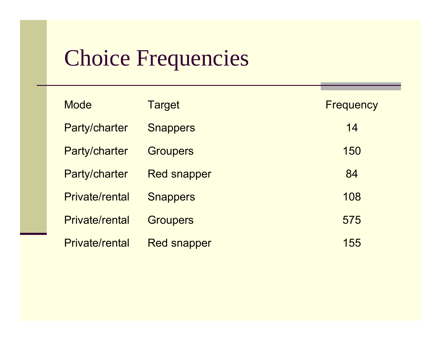# Choice Frequencies

| <b>Mode</b>           | <b>Target</b>      | <b>Frequency</b> |
|-----------------------|--------------------|------------------|
| Party/charter         | <b>Snappers</b>    | 14               |
| Party/charter         | <b>Groupers</b>    | 150              |
| Party/charter         | <b>Red snapper</b> | 84               |
| <b>Private/rental</b> | <b>Snappers</b>    | 108              |
| <b>Private/rental</b> | <b>Groupers</b>    | 575              |
| <b>Private/rental</b> | <b>Red snapper</b> | 155              |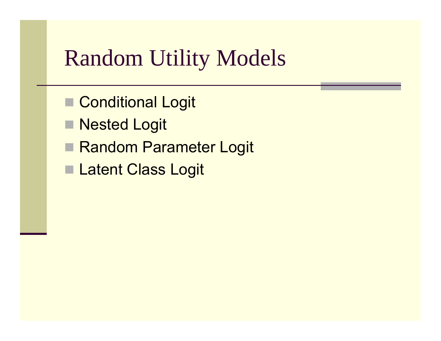# Random Utility Models

- Conditional Logit
- Nested Logit
- Random Parameter Logit
- **Latent Class Logit**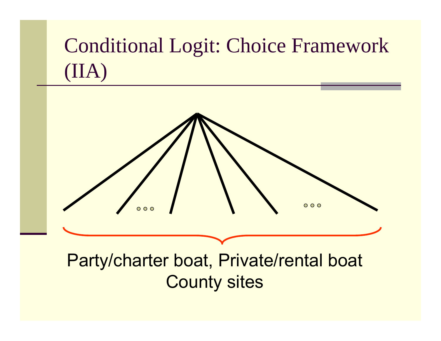# Conditional Logit: Choice Framework (IIA)



#### Party/charter boat, Private/rental boat County sites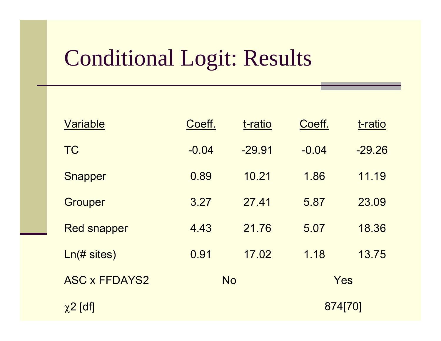# Conditional Logit: Results

| Variable                 | Coeff.  | t-ratio   | Coeff.  | t-ratio  |
|--------------------------|---------|-----------|---------|----------|
| <b>TC</b>                | $-0.04$ | $-29.91$  | $-0.04$ | $-29.26$ |
| <b>Snapper</b>           | 0.89    | 10.21     | 1.86    | 11.19    |
| <b>Grouper</b>           | 3.27    | 2741      | 5.87    | 23.09    |
| <b>Red snapper</b>       | 4.43    | 21.76     | 5.07    | 18.36    |
| $Ln(\# sites)$           | 0.91    | 17.02     | 1.18    | 13.75    |
| <b>ASC x FFDAYS2</b>     |         | <b>No</b> |         | Yes      |
| $\chi$ <sup>2</sup> [df] |         |           | 874[70] |          |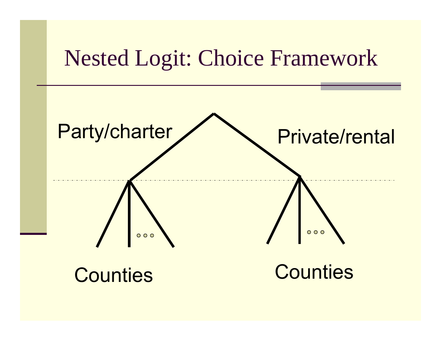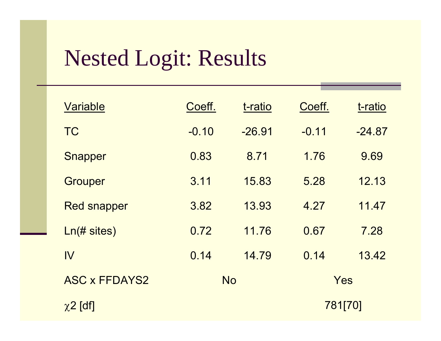# Nested Logit: Results

| Variable             | Coeff.  | t-ratio   | Coeff.  | t-ratio  |
|----------------------|---------|-----------|---------|----------|
| <b>TC</b>            | $-0.10$ | $-26.91$  | $-0.11$ | $-24.87$ |
| Snapper              | 0.83    | 8.71      | 1.76    | 9.69     |
| <b>Grouper</b>       | 3.11    | 15.83     | 5.28    | 12.13    |
| <b>Red snapper</b>   | 3.82    | 13.93     | 4.27    | 11.47    |
| $Ln(\# sites)$       | 0.72    | 11.76     | 0.67    | 7.28     |
| IV                   | 0.14    | 14.79     | 0.14    | 13.42    |
| <b>ASC x FFDAYS2</b> |         | <b>No</b> | Yes     |          |
| $\chi$ 2 [df]        |         |           | 781[70] |          |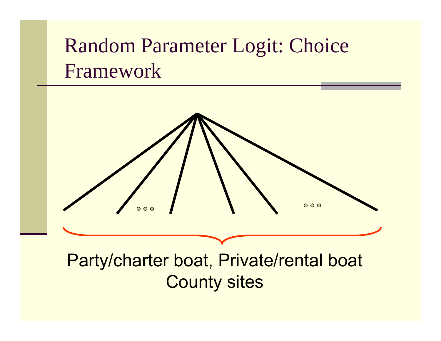#### Random Parameter Logit: Choice Framework



#### Party/charter boat, Private/rental boat County sites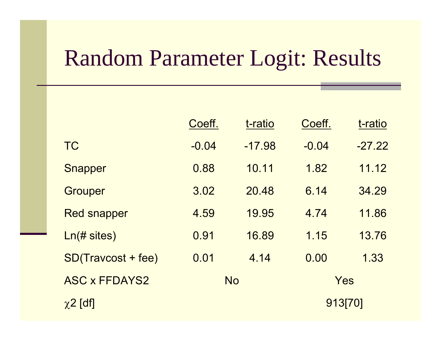# Random Parameter Logit: Results

|                      | Coeff.  | t-ratio   | Coeff.  | t-ratio  |
|----------------------|---------|-----------|---------|----------|
| <b>TC</b>            | $-0.04$ | $-17.98$  | $-0.04$ | $-27.22$ |
| <b>Snapper</b>       | 0.88    | 10.11     | 1.82    | 11.12    |
| <b>Grouper</b>       | 3.02    | 20.48     | 6.14    | 34.29    |
| <b>Red snapper</b>   | 4.59    | 19.95     | 4.74    | 11.86    |
| Ln(# sites)          | 0.91    | 16.89     | 1.15    | 13.76    |
| SD(Travcost + fee)   | 0.01    | 4.14      | 0.00    | 1.33     |
| <b>ASC x FFDAYS2</b> |         | <b>No</b> |         | Yes      |
| $\chi$ 2 [df]        |         |           |         | 913[70]  |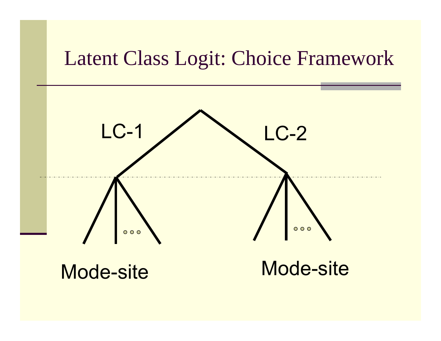#### Latent Class Logit: Choice Framework

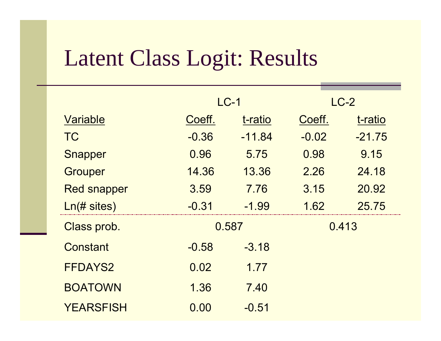# Latent Class Logit: Results

|                    | $LC-1$  |          |         | $LC-2$   |
|--------------------|---------|----------|---------|----------|
| Variable           | Coeff.  | t-ratio  | Coeff.  | t-ratio  |
| <b>TC</b>          | $-0.36$ | $-11.84$ | $-0.02$ | $-21.75$ |
| <b>Snapper</b>     | 0.96    | 5.75     | 0.98    | 9.15     |
| <b>Grouper</b>     | 14.36   | 13.36    | 2.26    | 24.18    |
| <b>Red snapper</b> | 3.59    | 7.76     | 3.15    | 20.92    |
| $Ln(\# sites)$     | $-0.31$ | $-1.99$  | 1.62    | 25.75    |
| Class prob.        |         | 0.587    |         | 0.413    |
| Constant           | $-0.58$ | $-3.18$  |         |          |
| <b>FFDAYS2</b>     | 0.02    | 1.77     |         |          |
| <b>BOATOWN</b>     | 1.36    | 7.40     |         |          |
| <b>YEARSFISH</b>   | 0.00    | $-0.51$  |         |          |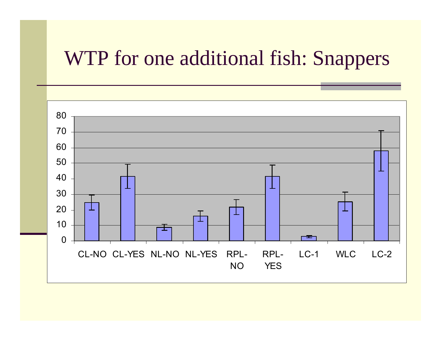#### WTP for one additional fish: Snappers

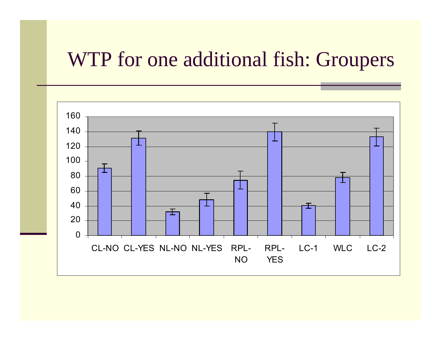#### WTP for one additional fish: Groupers

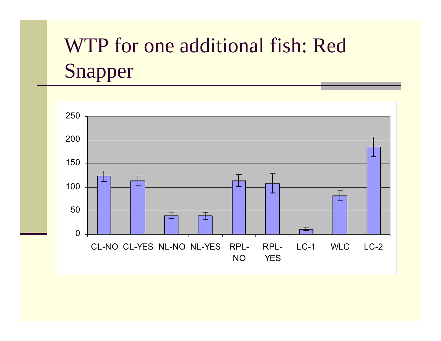# WTP for one additional fish: Red Snapper

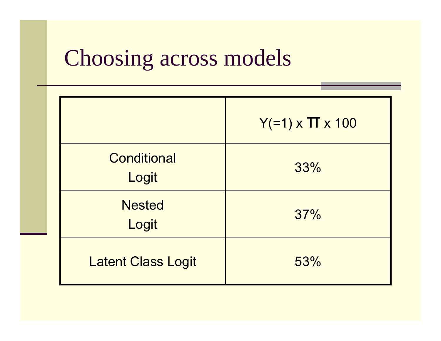## Choosing across models

|                             | $Y(=1) \times \Pi \times 100$ |
|-----------------------------|-------------------------------|
| <b>Conditional</b><br>Logit | 33%                           |
| <b>Nested</b><br>Logit      | 37%                           |
| <b>Latent Class Logit</b>   | 53%                           |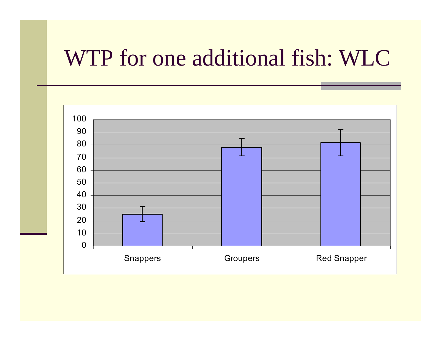# WTP for one additional fish: WLC